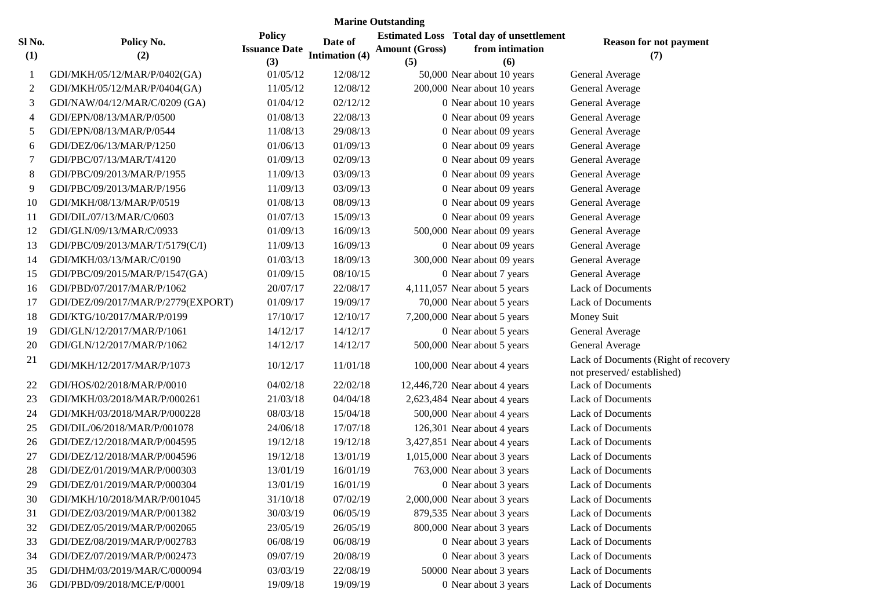|               | <b>Marine Outstanding</b>          |                                              |                           |                              |                                                                           |                                                                    |  |  |
|---------------|------------------------------------|----------------------------------------------|---------------------------|------------------------------|---------------------------------------------------------------------------|--------------------------------------------------------------------|--|--|
| Sl No.<br>(1) | Policy No.<br>(2)                  | <b>Policy</b><br><b>Issuance Date</b><br>(3) | Date of<br>Intimation (4) | <b>Amount (Gross)</b><br>(5) | <b>Estimated Loss</b> Total day of unsettlement<br>from intimation<br>(6) | <b>Reason for not payment</b><br>(7)                               |  |  |
| 1             | GDI/MKH/05/12/MAR/P/0402(GA)       | 01/05/12                                     | 12/08/12                  |                              | 50,000 Near about 10 years                                                | General Average                                                    |  |  |
| 2             | GDI/MKH/05/12/MAR/P/0404(GA)       | 11/05/12                                     | 12/08/12                  |                              | 200,000 Near about 10 years                                               | General Average                                                    |  |  |
| 3             | GDI/NAW/04/12/MAR/C/0209 (GA)      | 01/04/12                                     | 02/12/12                  |                              | 0 Near about 10 years                                                     | General Average                                                    |  |  |
| 4             | GDI/EPN/08/13/MAR/P/0500           | 01/08/13                                     | 22/08/13                  |                              | 0 Near about 09 years                                                     | General Average                                                    |  |  |
| 5             | GDI/EPN/08/13/MAR/P/0544           | 11/08/13                                     | 29/08/13                  |                              | 0 Near about 09 years                                                     | General Average                                                    |  |  |
| 6             | GDI/DEZ/06/13/MAR/P/1250           | 01/06/13                                     | 01/09/13                  |                              | 0 Near about 09 years                                                     | General Average                                                    |  |  |
| 7             | GDI/PBC/07/13/MAR/T/4120           | 01/09/13                                     | 02/09/13                  |                              | 0 Near about 09 years                                                     | General Average                                                    |  |  |
| 8             | GDI/PBC/09/2013/MAR/P/1955         | 11/09/13                                     | 03/09/13                  |                              | 0 Near about 09 years                                                     | General Average                                                    |  |  |
| 9             | GDI/PBC/09/2013/MAR/P/1956         | 11/09/13                                     | 03/09/13                  |                              | 0 Near about 09 years                                                     | General Average                                                    |  |  |
| 10            | GDI/MKH/08/13/MAR/P/0519           | 01/08/13                                     | 08/09/13                  |                              | 0 Near about 09 years                                                     | General Average                                                    |  |  |
| 11            | GDI/DIL/07/13/MAR/C/0603           | 01/07/13                                     | 15/09/13                  |                              | 0 Near about 09 years                                                     | General Average                                                    |  |  |
| 12            | GDI/GLN/09/13/MAR/C/0933           | 01/09/13                                     | 16/09/13                  |                              | 500,000 Near about 09 years                                               | General Average                                                    |  |  |
| 13            | GDI/PBC/09/2013/MAR/T/5179(C/I)    | 11/09/13                                     | 16/09/13                  |                              | 0 Near about 09 years                                                     | General Average                                                    |  |  |
| 14            | GDI/MKH/03/13/MAR/C/0190           | 01/03/13                                     | 18/09/13                  |                              | 300,000 Near about 09 years                                               | General Average                                                    |  |  |
| 15            | GDI/PBC/09/2015/MAR/P/1547(GA)     | 01/09/15                                     | 08/10/15                  |                              | 0 Near about 7 years                                                      | General Average                                                    |  |  |
| 16            | GDI/PBD/07/2017/MAR/P/1062         | 20/07/17                                     | 22/08/17                  |                              | 4,111,057 Near about 5 years                                              | <b>Lack of Documents</b>                                           |  |  |
| 17            | GDI/DEZ/09/2017/MAR/P/2779(EXPORT) | 01/09/17                                     | 19/09/17                  |                              | 70,000 Near about 5 years                                                 | <b>Lack of Documents</b>                                           |  |  |
| 18            | GDI/KTG/10/2017/MAR/P/0199         | 17/10/17                                     | 12/10/17                  |                              | 7,200,000 Near about 5 years                                              | Money Suit                                                         |  |  |
| 19            | GDI/GLN/12/2017/MAR/P/1061         | 14/12/17                                     | 14/12/17                  |                              | 0 Near about 5 years                                                      | General Average                                                    |  |  |
| 20            | GDI/GLN/12/2017/MAR/P/1062         | 14/12/17                                     | 14/12/17                  |                              | 500,000 Near about 5 years                                                | General Average                                                    |  |  |
| 21            | GDI/MKH/12/2017/MAR/P/1073         | 10/12/17                                     | 11/01/18                  |                              | 100,000 Near about 4 years                                                | Lack of Documents (Right of recovery<br>not preserved/established) |  |  |
| 22            | GDI/HOS/02/2018/MAR/P/0010         | 04/02/18                                     | 22/02/18                  |                              | 12,446,720 Near about 4 years                                             | <b>Lack of Documents</b>                                           |  |  |
| 23            | GDI/MKH/03/2018/MAR/P/000261       | 21/03/18                                     | 04/04/18                  |                              | 2,623,484 Near about 4 years                                              | <b>Lack of Documents</b>                                           |  |  |
| 24            | GDI/MKH/03/2018/MAR/P/000228       | 08/03/18                                     | 15/04/18                  |                              | 500,000 Near about 4 years                                                | <b>Lack of Documents</b>                                           |  |  |
| 25            | GDI/DIL/06/2018/MAR/P/001078       | 24/06/18                                     | 17/07/18                  |                              | 126,301 Near about 4 years                                                | <b>Lack of Documents</b>                                           |  |  |
| 26            | GDI/DEZ/12/2018/MAR/P/004595       | 19/12/18                                     | 19/12/18                  |                              | 3,427,851 Near about 4 years                                              | <b>Lack of Documents</b>                                           |  |  |
| 27            | GDI/DEZ/12/2018/MAR/P/004596       | 19/12/18                                     | 13/01/19                  |                              | 1,015,000 Near about 3 years                                              | <b>Lack of Documents</b>                                           |  |  |
| 28            | GDI/DEZ/01/2019/MAR/P/000303       | 13/01/19                                     | 16/01/19                  |                              | 763,000 Near about 3 years                                                | <b>Lack of Documents</b>                                           |  |  |
| 29            | GDI/DEZ/01/2019/MAR/P/000304       | 13/01/19                                     | 16/01/19                  |                              | 0 Near about 3 years                                                      | Lack of Documents                                                  |  |  |
| 30            | GDI/MKH/10/2018/MAR/P/001045       | 31/10/18                                     | 07/02/19                  |                              | 2,000,000 Near about 3 years                                              | <b>Lack of Documents</b>                                           |  |  |
| 31            | GDI/DEZ/03/2019/MAR/P/001382       | 30/03/19                                     | 06/05/19                  |                              | 879,535 Near about 3 years                                                | Lack of Documents                                                  |  |  |
| 32            | GDI/DEZ/05/2019/MAR/P/002065       | 23/05/19                                     | 26/05/19                  |                              | 800,000 Near about 3 years                                                | Lack of Documents                                                  |  |  |
| 33            | GDI/DEZ/08/2019/MAR/P/002783       | 06/08/19                                     | 06/08/19                  |                              | 0 Near about 3 years                                                      | Lack of Documents                                                  |  |  |
| 34            | GDI/DEZ/07/2019/MAR/P/002473       | 09/07/19                                     | 20/08/19                  |                              | 0 Near about 3 years                                                      | Lack of Documents                                                  |  |  |
| 35            | GDI/DHM/03/2019/MAR/C/000094       | 03/03/19                                     | 22/08/19                  |                              | 50000 Near about 3 years                                                  | Lack of Documents                                                  |  |  |
| 36            | GDI/PBD/09/2018/MCE/P/0001         | 19/09/18                                     | 19/09/19                  |                              | 0 Near about 3 years                                                      | Lack of Documents                                                  |  |  |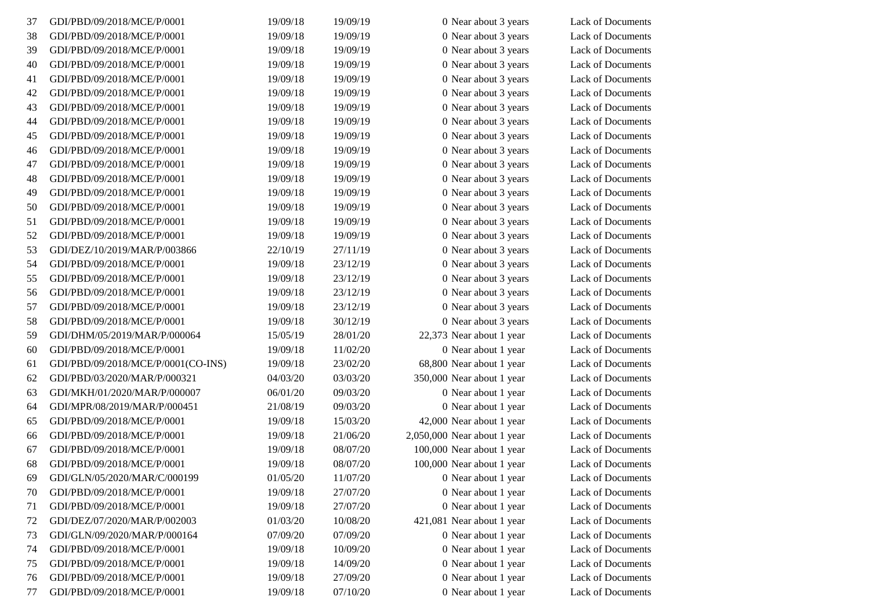| 37 | GDI/PBD/09/2018/MCE/P/0001         | 19/09/18 | 19/09/19 | 0 Near about 3 years        | Lack of Documents        |
|----|------------------------------------|----------|----------|-----------------------------|--------------------------|
| 38 | GDI/PBD/09/2018/MCE/P/0001         | 19/09/18 | 19/09/19 | 0 Near about 3 years        | Lack of Documents        |
| 39 | GDI/PBD/09/2018/MCE/P/0001         | 19/09/18 | 19/09/19 | 0 Near about 3 years        | Lack of Documents        |
| 40 | GDI/PBD/09/2018/MCE/P/0001         | 19/09/18 | 19/09/19 | 0 Near about 3 years        | Lack of Documents        |
| 41 | GDI/PBD/09/2018/MCE/P/0001         | 19/09/18 | 19/09/19 | 0 Near about 3 years        | Lack of Documents        |
| 42 | GDI/PBD/09/2018/MCE/P/0001         | 19/09/18 | 19/09/19 | 0 Near about 3 years        | Lack of Documents        |
| 43 | GDI/PBD/09/2018/MCE/P/0001         | 19/09/18 | 19/09/19 | 0 Near about 3 years        | Lack of Documents        |
| 44 | GDI/PBD/09/2018/MCE/P/0001         | 19/09/18 | 19/09/19 | 0 Near about 3 years        | Lack of Documents        |
| 45 | GDI/PBD/09/2018/MCE/P/0001         | 19/09/18 | 19/09/19 | 0 Near about 3 years        | Lack of Documents        |
| 46 | GDI/PBD/09/2018/MCE/P/0001         | 19/09/18 | 19/09/19 | 0 Near about 3 years        | Lack of Documents        |
| 47 | GDI/PBD/09/2018/MCE/P/0001         | 19/09/18 | 19/09/19 | 0 Near about 3 years        | Lack of Documents        |
| 48 | GDI/PBD/09/2018/MCE/P/0001         | 19/09/18 | 19/09/19 | 0 Near about 3 years        | Lack of Documents        |
| 49 | GDI/PBD/09/2018/MCE/P/0001         | 19/09/18 | 19/09/19 | 0 Near about 3 years        | Lack of Documents        |
| 50 | GDI/PBD/09/2018/MCE/P/0001         | 19/09/18 | 19/09/19 | 0 Near about 3 years        | Lack of Documents        |
| 51 | GDI/PBD/09/2018/MCE/P/0001         | 19/09/18 | 19/09/19 | 0 Near about 3 years        | Lack of Documents        |
| 52 | GDI/PBD/09/2018/MCE/P/0001         | 19/09/18 | 19/09/19 | 0 Near about 3 years        | Lack of Documents        |
| 53 | GDI/DEZ/10/2019/MAR/P/003866       | 22/10/19 | 27/11/19 | 0 Near about 3 years        | Lack of Documents        |
| 54 | GDI/PBD/09/2018/MCE/P/0001         | 19/09/18 | 23/12/19 | 0 Near about 3 years        | Lack of Documents        |
| 55 | GDI/PBD/09/2018/MCE/P/0001         | 19/09/18 | 23/12/19 | 0 Near about 3 years        | Lack of Documents        |
| 56 | GDI/PBD/09/2018/MCE/P/0001         | 19/09/18 | 23/12/19 | 0 Near about 3 years        | Lack of Documents        |
| 57 | GDI/PBD/09/2018/MCE/P/0001         | 19/09/18 | 23/12/19 | 0 Near about 3 years        | <b>Lack of Documents</b> |
| 58 | GDI/PBD/09/2018/MCE/P/0001         | 19/09/18 | 30/12/19 | 0 Near about 3 years        | Lack of Documents        |
| 59 | GDI/DHM/05/2019/MAR/P/000064       | 15/05/19 | 28/01/20 | 22,373 Near about 1 year    | Lack of Documents        |
| 60 | GDI/PBD/09/2018/MCE/P/0001         | 19/09/18 | 11/02/20 | 0 Near about 1 year         | Lack of Documents        |
| 61 | GDI/PBD/09/2018/MCE/P/0001(CO-INS) | 19/09/18 | 23/02/20 | 68,800 Near about 1 year    | Lack of Documents        |
| 62 | GDI/PBD/03/2020/MAR/P/000321       | 04/03/20 | 03/03/20 | 350,000 Near about 1 year   | Lack of Documents        |
| 63 | GDI/MKH/01/2020/MAR/P/000007       | 06/01/20 | 09/03/20 | 0 Near about 1 year         | Lack of Documents        |
| 64 | GDI/MPR/08/2019/MAR/P/000451       | 21/08/19 | 09/03/20 | 0 Near about 1 year         | Lack of Documents        |
| 65 | GDI/PBD/09/2018/MCE/P/0001         | 19/09/18 | 15/03/20 | 42,000 Near about 1 year    | Lack of Documents        |
| 66 | GDI/PBD/09/2018/MCE/P/0001         | 19/09/18 | 21/06/20 | 2,050,000 Near about 1 year | Lack of Documents        |
| 67 | GDI/PBD/09/2018/MCE/P/0001         | 19/09/18 | 08/07/20 | 100,000 Near about 1 year   | Lack of Documents        |
| 68 | GDI/PBD/09/2018/MCE/P/0001         | 19/09/18 | 08/07/20 | 100,000 Near about 1 year   | Lack of Documents        |
| 69 | GDI/GLN/05/2020/MAR/C/000199       | 01/05/20 | 11/07/20 | 0 Near about 1 year         | Lack of Documents        |
| 70 | GDI/PBD/09/2018/MCE/P/0001         | 19/09/18 | 27/07/20 | 0 Near about 1 year         | Lack of Documents        |
| 71 | GDI/PBD/09/2018/MCE/P/0001         | 19/09/18 | 27/07/20 | 0 Near about 1 year         | Lack of Documents        |
| 72 | GDI/DEZ/07/2020/MAR/P/002003       | 01/03/20 | 10/08/20 | 421,081 Near about 1 year   | Lack of Documents        |
| 73 | GDI/GLN/09/2020/MAR/P/000164       | 07/09/20 | 07/09/20 | 0 Near about 1 year         | Lack of Documents        |
| 74 | GDI/PBD/09/2018/MCE/P/0001         | 19/09/18 | 10/09/20 | 0 Near about 1 year         | Lack of Documents        |
| 75 | GDI/PBD/09/2018/MCE/P/0001         | 19/09/18 | 14/09/20 | 0 Near about 1 year         | Lack of Documents        |
| 76 | GDI/PBD/09/2018/MCE/P/0001         | 19/09/18 | 27/09/20 | 0 Near about 1 year         | Lack of Documents        |
| 77 | GDI/PBD/09/2018/MCE/P/0001         | 19/09/18 | 07/10/20 | 0 Near about 1 year         | Lack of Documents        |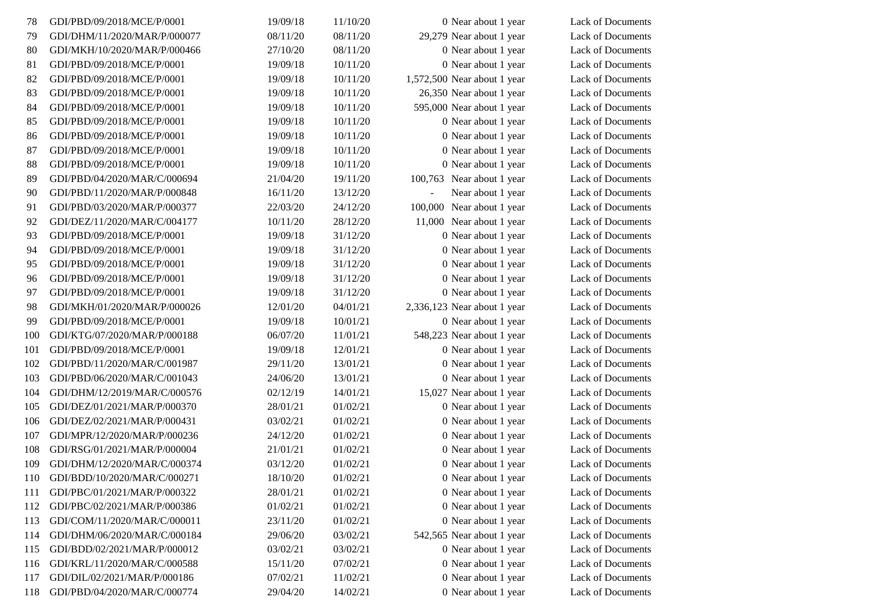| 78  | GDI/PBD/09/2018/MCE/P/0001   | 19/09/18 | 11/10/20 | 0 Near about 1 year                 | Lack of Documents |
|-----|------------------------------|----------|----------|-------------------------------------|-------------------|
| 79  | GDI/DHM/11/2020/MAR/P/000077 | 08/11/20 | 08/11/20 | 29,279 Near about 1 year            | Lack of Documents |
| 80  | GDI/MKH/10/2020/MAR/P/000466 | 27/10/20 | 08/11/20 | 0 Near about 1 year                 | Lack of Documents |
| 81  | GDI/PBD/09/2018/MCE/P/0001   | 19/09/18 | 10/11/20 | 0 Near about 1 year                 | Lack of Documents |
| 82  | GDI/PBD/09/2018/MCE/P/0001   | 19/09/18 | 10/11/20 | 1,572,500 Near about 1 year         | Lack of Documents |
| 83  | GDI/PBD/09/2018/MCE/P/0001   | 19/09/18 | 10/11/20 | 26,350 Near about 1 year            | Lack of Documents |
| 84  | GDI/PBD/09/2018/MCE/P/0001   | 19/09/18 | 10/11/20 | 595,000 Near about 1 year           | Lack of Documents |
| 85  | GDI/PBD/09/2018/MCE/P/0001   | 19/09/18 | 10/11/20 | 0 Near about 1 year                 | Lack of Documents |
| 86  | GDI/PBD/09/2018/MCE/P/0001   | 19/09/18 | 10/11/20 | 0 Near about 1 year                 | Lack of Documents |
| 87  | GDI/PBD/09/2018/MCE/P/0001   | 19/09/18 | 10/11/20 | 0 Near about 1 year                 | Lack of Documents |
| 88  | GDI/PBD/09/2018/MCE/P/0001   | 19/09/18 | 10/11/20 | 0 Near about 1 year                 | Lack of Documents |
| 89  | GDI/PBD/04/2020/MAR/C/000694 | 21/04/20 | 19/11/20 | 100,763 Near about 1 year           | Lack of Documents |
| 90  | GDI/PBD/11/2020/MAR/P/000848 | 16/11/20 | 13/12/20 | Near about 1 year<br>$\blacksquare$ | Lack of Documents |
| 91  | GDI/PBD/03/2020/MAR/P/000377 | 22/03/20 | 24/12/20 | 100,000 Near about 1 year           | Lack of Documents |
| 92  | GDI/DEZ/11/2020/MAR/C/004177 | 10/11/20 | 28/12/20 | 11,000 Near about 1 year            | Lack of Documents |
| 93  | GDI/PBD/09/2018/MCE/P/0001   | 19/09/18 | 31/12/20 | 0 Near about 1 year                 | Lack of Documents |
| 94  | GDI/PBD/09/2018/MCE/P/0001   | 19/09/18 | 31/12/20 | 0 Near about 1 year                 | Lack of Documents |
| 95  | GDI/PBD/09/2018/MCE/P/0001   | 19/09/18 | 31/12/20 | 0 Near about 1 year                 | Lack of Documents |
| 96  | GDI/PBD/09/2018/MCE/P/0001   | 19/09/18 | 31/12/20 | 0 Near about 1 year                 | Lack of Documents |
| 97  | GDI/PBD/09/2018/MCE/P/0001   | 19/09/18 | 31/12/20 | 0 Near about 1 year                 | Lack of Documents |
| 98  | GDI/MKH/01/2020/MAR/P/000026 | 12/01/20 | 04/01/21 | 2,336,123 Near about 1 year         | Lack of Documents |
| 99  | GDI/PBD/09/2018/MCE/P/0001   | 19/09/18 | 10/01/21 | 0 Near about 1 year                 | Lack of Documents |
| 100 | GDI/KTG/07/2020/MAR/P/000188 | 06/07/20 | 11/01/21 | 548,223 Near about 1 year           | Lack of Documents |
| 101 | GDI/PBD/09/2018/MCE/P/0001   | 19/09/18 | 12/01/21 | 0 Near about 1 year                 | Lack of Documents |
| 102 | GDI/PBD/11/2020/MAR/C/001987 | 29/11/20 | 13/01/21 | 0 Near about 1 year                 | Lack of Documents |
| 103 | GDI/PBD/06/2020/MAR/C/001043 | 24/06/20 | 13/01/21 | 0 Near about 1 year                 | Lack of Documents |
| 104 | GDI/DHM/12/2019/MAR/C/000576 | 02/12/19 | 14/01/21 | 15,027 Near about 1 year            | Lack of Documents |
| 105 | GDI/DEZ/01/2021/MAR/P/000370 | 28/01/21 | 01/02/21 | 0 Near about 1 year                 | Lack of Documents |
| 106 | GDI/DEZ/02/2021/MAR/P/000431 | 03/02/21 | 01/02/21 | 0 Near about 1 year                 | Lack of Documents |
| 107 | GDI/MPR/12/2020/MAR/P/000236 | 24/12/20 | 01/02/21 | 0 Near about 1 year                 | Lack of Documents |
| 108 | GDI/RSG/01/2021/MAR/P/000004 | 21/01/21 | 01/02/21 | 0 Near about 1 year                 | Lack of Documents |
| 109 | GDI/DHM/12/2020/MAR/C/000374 | 03/12/20 | 01/02/21 | 0 Near about 1 year                 | Lack of Documents |
| 110 | GDI/BDD/10/2020/MAR/C/000271 | 18/10/20 | 01/02/21 | 0 Near about 1 year                 | Lack of Documents |
| 111 | GDI/PBC/01/2021/MAR/P/000322 | 28/01/21 | 01/02/21 | 0 Near about 1 year                 | Lack of Documents |
| 112 | GDI/PBC/02/2021/MAR/P/000386 | 01/02/21 | 01/02/21 | 0 Near about 1 year                 | Lack of Documents |
| 113 | GDI/COM/11/2020/MAR/C/000011 | 23/11/20 | 01/02/21 | 0 Near about 1 year                 | Lack of Documents |
| 114 | GDI/DHM/06/2020/MAR/C/000184 | 29/06/20 | 03/02/21 | 542,565 Near about 1 year           | Lack of Documents |
| 115 | GDI/BDD/02/2021/MAR/P/000012 | 03/02/21 | 03/02/21 | 0 Near about 1 year                 | Lack of Documents |
| 116 | GDI/KRL/11/2020/MAR/C/000588 | 15/11/20 | 07/02/21 | 0 Near about 1 year                 | Lack of Documents |
| 117 | GDI/DIL/02/2021/MAR/P/000186 | 07/02/21 | 11/02/21 | 0 Near about 1 year                 | Lack of Documents |
| 118 | GDI/PBD/04/2020/MAR/C/000774 | 29/04/20 | 14/02/21 | 0 Near about 1 year                 | Lack of Documents |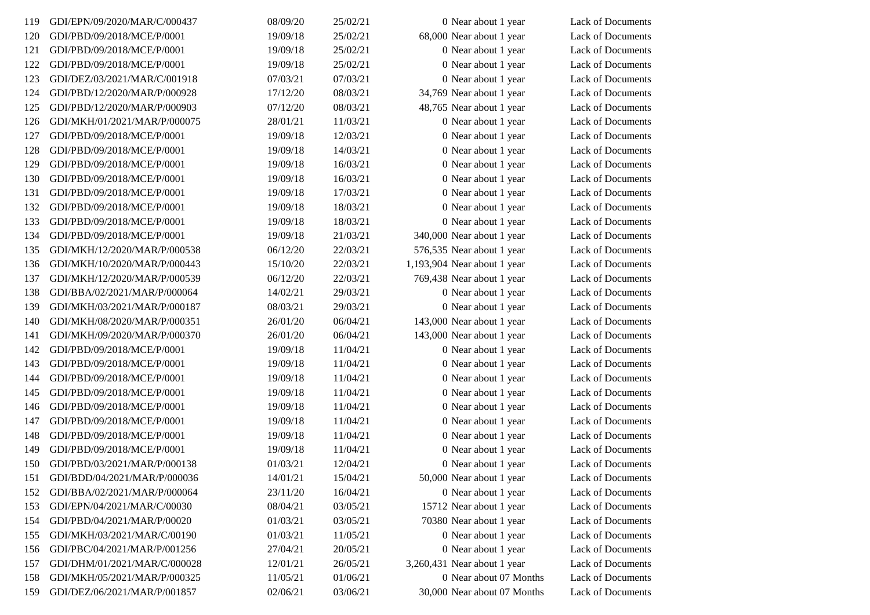| 119 | GDI/EPN/09/2020/MAR/C/000437 | 08/09/20 | 25/02/21 | 0 Near about 1 year         | Lack of Documents |
|-----|------------------------------|----------|----------|-----------------------------|-------------------|
| 120 | GDI/PBD/09/2018/MCE/P/0001   | 19/09/18 | 25/02/21 | 68,000 Near about 1 year    | Lack of Documents |
| 121 | GDI/PBD/09/2018/MCE/P/0001   | 19/09/18 | 25/02/21 | 0 Near about 1 year         | Lack of Documents |
| 122 | GDI/PBD/09/2018/MCE/P/0001   | 19/09/18 | 25/02/21 | 0 Near about 1 year         | Lack of Documents |
| 123 | GDI/DEZ/03/2021/MAR/C/001918 | 07/03/21 | 07/03/21 | 0 Near about 1 year         | Lack of Documents |
| 124 | GDI/PBD/12/2020/MAR/P/000928 | 17/12/20 | 08/03/21 | 34,769 Near about 1 year    | Lack of Documents |
| 125 | GDI/PBD/12/2020/MAR/P/000903 | 07/12/20 | 08/03/21 | 48,765 Near about 1 year    | Lack of Documents |
| 126 | GDI/MKH/01/2021/MAR/P/000075 | 28/01/21 | 11/03/21 | 0 Near about 1 year         | Lack of Documents |
| 127 | GDI/PBD/09/2018/MCE/P/0001   | 19/09/18 | 12/03/21 | 0 Near about 1 year         | Lack of Documents |
| 128 | GDI/PBD/09/2018/MCE/P/0001   | 19/09/18 | 14/03/21 | 0 Near about 1 year         | Lack of Documents |
| 129 | GDI/PBD/09/2018/MCE/P/0001   | 19/09/18 | 16/03/21 | 0 Near about 1 year         | Lack of Documents |
| 130 | GDI/PBD/09/2018/MCE/P/0001   | 19/09/18 | 16/03/21 | 0 Near about 1 year         | Lack of Documents |
| 131 | GDI/PBD/09/2018/MCE/P/0001   | 19/09/18 | 17/03/21 | 0 Near about 1 year         | Lack of Documents |
| 132 | GDI/PBD/09/2018/MCE/P/0001   | 19/09/18 | 18/03/21 | 0 Near about 1 year         | Lack of Documents |
| 133 | GDI/PBD/09/2018/MCE/P/0001   | 19/09/18 | 18/03/21 | 0 Near about 1 year         | Lack of Documents |
| 134 | GDI/PBD/09/2018/MCE/P/0001   | 19/09/18 | 21/03/21 | 340,000 Near about 1 year   | Lack of Documents |
| 135 | GDI/MKH/12/2020/MAR/P/000538 | 06/12/20 | 22/03/21 | 576,535 Near about 1 year   | Lack of Documents |
| 136 | GDI/MKH/10/2020/MAR/P/000443 | 15/10/20 | 22/03/21 | 1,193,904 Near about 1 year | Lack of Documents |
| 137 | GDI/MKH/12/2020/MAR/P/000539 | 06/12/20 | 22/03/21 | 769,438 Near about 1 year   | Lack of Documents |
| 138 | GDI/BBA/02/2021/MAR/P/000064 | 14/02/21 | 29/03/21 | 0 Near about 1 year         | Lack of Documents |
| 139 | GDI/MKH/03/2021/MAR/P/000187 | 08/03/21 | 29/03/21 | 0 Near about 1 year         | Lack of Documents |
| 140 | GDI/MKH/08/2020/MAR/P/000351 | 26/01/20 | 06/04/21 | 143,000 Near about 1 year   | Lack of Documents |
| 141 | GDI/MKH/09/2020/MAR/P/000370 | 26/01/20 | 06/04/21 | 143,000 Near about 1 year   | Lack of Documents |
| 142 | GDI/PBD/09/2018/MCE/P/0001   | 19/09/18 | 11/04/21 | 0 Near about 1 year         | Lack of Documents |
| 143 | GDI/PBD/09/2018/MCE/P/0001   | 19/09/18 | 11/04/21 | 0 Near about 1 year         | Lack of Documents |
| 144 | GDI/PBD/09/2018/MCE/P/0001   | 19/09/18 | 11/04/21 | 0 Near about 1 year         | Lack of Documents |
| 145 | GDI/PBD/09/2018/MCE/P/0001   | 19/09/18 | 11/04/21 | 0 Near about 1 year         | Lack of Documents |
| 146 | GDI/PBD/09/2018/MCE/P/0001   | 19/09/18 | 11/04/21 | 0 Near about 1 year         | Lack of Documents |
| 147 | GDI/PBD/09/2018/MCE/P/0001   | 19/09/18 | 11/04/21 | 0 Near about 1 year         | Lack of Documents |
| 148 | GDI/PBD/09/2018/MCE/P/0001   | 19/09/18 | 11/04/21 | 0 Near about 1 year         | Lack of Documents |
| 149 | GDI/PBD/09/2018/MCE/P/0001   | 19/09/18 | 11/04/21 | 0 Near about 1 year         | Lack of Documents |
| 150 | GDI/PBD/03/2021/MAR/P/000138 | 01/03/21 | 12/04/21 | 0 Near about 1 year         | Lack of Documents |
| 151 | GDI/BDD/04/2021/MAR/P/000036 | 14/01/21 | 15/04/21 | 50,000 Near about 1 year    | Lack of Documents |
| 152 | GDI/BBA/02/2021/MAR/P/000064 | 23/11/20 | 16/04/21 | 0 Near about 1 year         | Lack of Documents |
| 153 | GDI/EPN/04/2021/MAR/C/00030  | 08/04/21 | 03/05/21 | 15712 Near about 1 year     | Lack of Documents |
| 154 | GDI/PBD/04/2021/MAR/P/00020  | 01/03/21 | 03/05/21 | 70380 Near about 1 year     | Lack of Documents |
| 155 | GDI/MKH/03/2021/MAR/C/00190  | 01/03/21 | 11/05/21 | 0 Near about 1 year         | Lack of Documents |
| 156 | GDI/PBC/04/2021/MAR/P/001256 | 27/04/21 | 20/05/21 | 0 Near about 1 year         | Lack of Documents |
| 157 | GDI/DHM/01/2021/MAR/C/000028 | 12/01/21 | 26/05/21 | 3,260,431 Near about 1 year | Lack of Documents |
| 158 | GDI/MKH/05/2021/MAR/P/000325 | 11/05/21 | 01/06/21 | 0 Near about 07 Months      | Lack of Documents |
| 159 | GDI/DEZ/06/2021/MAR/P/001857 | 02/06/21 | 03/06/21 | 30,000 Near about 07 Months | Lack of Documents |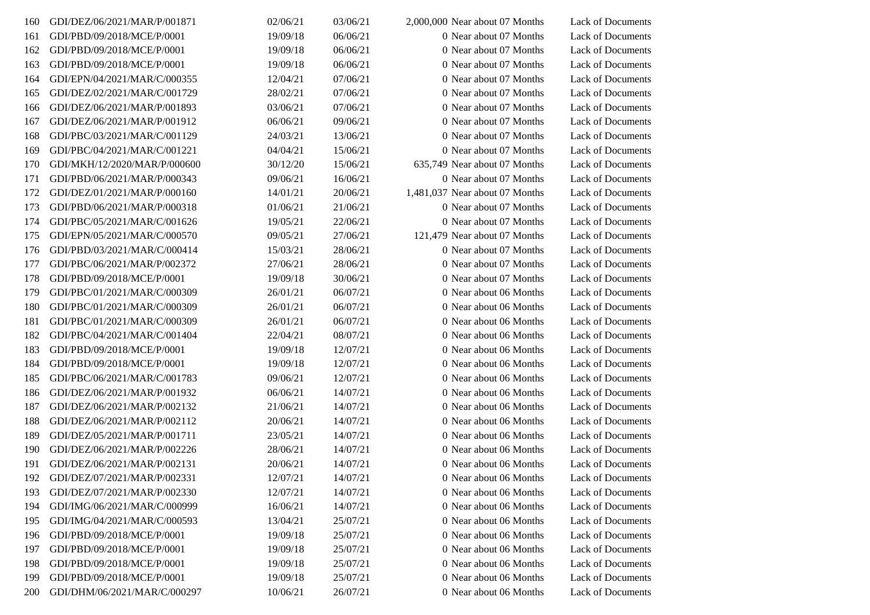| 160 | GDI/DEZ/06/2021/MAR/P/001871 | 02/06/21 | 03/06/21 | $2,000,000$ Near about 07 Months | Lack of Documents        |
|-----|------------------------------|----------|----------|----------------------------------|--------------------------|
| 161 | GDI/PBD/09/2018/MCE/P/0001   | 19/09/18 | 06/06/21 | 0 Near about 07 Months           | Lack of Documents        |
| 162 | GDI/PBD/09/2018/MCE/P/0001   | 19/09/18 | 06/06/21 | 0 Near about 07 Months           | Lack of Documents        |
| 163 | GDI/PBD/09/2018/MCE/P/0001   | 19/09/18 | 06/06/21 | 0 Near about 07 Months           | Lack of Documents        |
| 164 | GDI/EPN/04/2021/MAR/C/000355 | 12/04/21 | 07/06/21 | 0 Near about 07 Months           | Lack of Documents        |
| 165 | GDI/DEZ/02/2021/MAR/C/001729 | 28/02/21 | 07/06/21 | 0 Near about 07 Months           | Lack of Documents        |
| 166 | GDI/DEZ/06/2021/MAR/P/001893 | 03/06/21 | 07/06/21 | 0 Near about 07 Months           | Lack of Documents        |
| 167 | GDI/DEZ/06/2021/MAR/P/001912 | 06/06/21 | 09/06/21 | 0 Near about 07 Months           | Lack of Documents        |
| 168 | GDI/PBC/03/2021/MAR/C/001129 | 24/03/21 | 13/06/21 | 0 Near about 07 Months           | Lack of Documents        |
| 169 | GDI/PBC/04/2021/MAR/C/001221 | 04/04/21 | 15/06/21 | 0 Near about 07 Months           | Lack of Documents        |
| 170 | GDI/MKH/12/2020/MAR/P/000600 | 30/12/20 | 15/06/21 | 635,749 Near about 07 Months     | <b>Lack of Documents</b> |
| 171 | GDI/PBD/06/2021/MAR/P/000343 | 09/06/21 | 16/06/21 | 0 Near about 07 Months           | Lack of Documents        |
| 172 | GDI/DEZ/01/2021/MAR/P/000160 | 14/01/21 | 20/06/21 | 1,481,037 Near about 07 Months   | Lack of Documents        |
| 173 | GDI/PBD/06/2021/MAR/P/000318 | 01/06/21 | 21/06/21 | 0 Near about 07 Months           | Lack of Documents        |
| 174 | GDI/PBC/05/2021/MAR/C/001626 | 19/05/21 | 22/06/21 | 0 Near about 07 Months           | <b>Lack of Documents</b> |
| 175 | GDI/EPN/05/2021/MAR/C/000570 | 09/05/21 | 27/06/21 | 121,479 Near about 07 Months     | Lack of Documents        |
| 176 | GDI/PBD/03/2021/MAR/C/000414 | 15/03/21 | 28/06/21 | 0 Near about 07 Months           | Lack of Documents        |
| 177 | GDI/PBC/06/2021/MAR/P/002372 | 27/06/21 | 28/06/21 | 0 Near about 07 Months           | Lack of Documents        |
| 178 | GDI/PBD/09/2018/MCE/P/0001   | 19/09/18 | 30/06/21 | 0 Near about 07 Months           | Lack of Documents        |
| 179 | GDI/PBC/01/2021/MAR/C/000309 | 26/01/21 | 06/07/21 | 0 Near about 06 Months           | Lack of Documents        |
| 180 | GDI/PBC/01/2021/MAR/C/000309 | 26/01/21 | 06/07/21 | 0 Near about 06 Months           | Lack of Documents        |
| 181 | GDI/PBC/01/2021/MAR/C/000309 | 26/01/21 | 06/07/21 | 0 Near about 06 Months           | Lack of Documents        |
| 182 | GDI/PBC/04/2021/MAR/C/001404 | 22/04/21 | 08/07/21 | 0 Near about 06 Months           | Lack of Documents        |
| 183 | GDI/PBD/09/2018/MCE/P/0001   | 19/09/18 | 12/07/21 | 0 Near about 06 Months           | Lack of Documents        |
| 184 | GDI/PBD/09/2018/MCE/P/0001   | 19/09/18 | 12/07/21 | 0 Near about 06 Months           | Lack of Documents        |
| 185 | GDI/PBC/06/2021/MAR/C/001783 | 09/06/21 | 12/07/21 | 0 Near about 06 Months           | <b>Lack of Documents</b> |
| 186 | GDI/DEZ/06/2021/MAR/P/001932 | 06/06/21 | 14/07/21 | 0 Near about 06 Months           | Lack of Documents        |
| 187 | GDI/DEZ/06/2021/MAR/P/002132 | 21/06/21 | 14/07/21 | 0 Near about 06 Months           | Lack of Documents        |
| 188 | GDI/DEZ/06/2021/MAR/P/002112 | 20/06/21 | 14/07/21 | 0 Near about 06 Months           | Lack of Documents        |
| 189 | GDI/DEZ/05/2021/MAR/P/001711 | 23/05/21 | 14/07/21 | 0 Near about 06 Months           | Lack of Documents        |
| 190 | GDI/DEZ/06/2021/MAR/P/002226 | 28/06/21 | 14/07/21 | 0 Near about 06 Months           | Lack of Documents        |
| 191 | GDI/DEZ/06/2021/MAR/P/002131 | 20/06/21 | 14/07/21 | 0 Near about 06 Months           | Lack of Documents        |
| 192 | GDI/DEZ/07/2021/MAR/P/002331 | 12/07/21 | 14/07/21 | 0 Near about 06 Months           | Lack of Documents        |
| 193 | GDI/DEZ/07/2021/MAR/P/002330 | 12/07/21 | 14/07/21 | 0 Near about 06 Months           | Lack of Documents        |
| 194 | GDI/IMG/06/2021/MAR/C/000999 | 16/06/21 | 14/07/21 | 0 Near about 06 Months           | Lack of Documents        |
| 195 | GDI/IMG/04/2021/MAR/C/000593 | 13/04/21 | 25/07/21 | 0 Near about 06 Months           | <b>Lack of Documents</b> |
| 196 | GDI/PBD/09/2018/MCE/P/0001   | 19/09/18 | 25/07/21 | 0 Near about 06 Months           | Lack of Documents        |
| 197 | GDI/PBD/09/2018/MCE/P/0001   | 19/09/18 | 25/07/21 | 0 Near about 06 Months           | <b>Lack of Documents</b> |
| 198 | GDI/PBD/09/2018/MCE/P/0001   | 19/09/18 | 25/07/21 | 0 Near about 06 Months           | Lack of Documents        |
| 199 | GDI/PBD/09/2018/MCE/P/0001   | 19/09/18 | 25/07/21 | 0 Near about 06 Months           | Lack of Documents        |
| 200 | GDI/DHM/06/2021/MAR/C/000297 | 10/06/21 | 26/07/21 | 0 Near about 06 Months           | Lack of Documents        |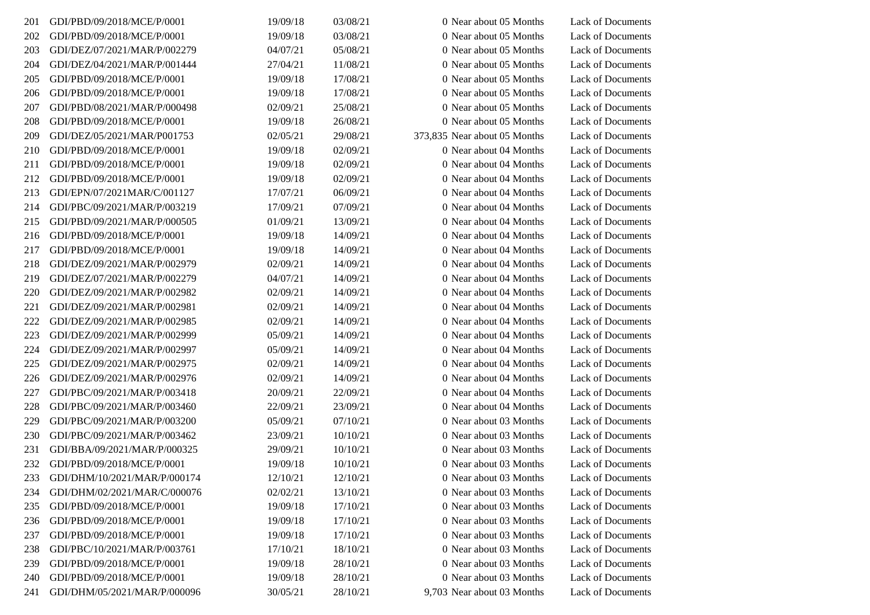| 201 | GDI/PBD/09/2018/MCE/P/0001   | 19/09/18 | 03/08/21 | 0 Near about 05 Months       | Lack of Documents        |
|-----|------------------------------|----------|----------|------------------------------|--------------------------|
| 202 | GDI/PBD/09/2018/MCE/P/0001   | 19/09/18 | 03/08/21 | 0 Near about 05 Months       | Lack of Documents        |
| 203 | GDI/DEZ/07/2021/MAR/P/002279 | 04/07/21 | 05/08/21 | 0 Near about 05 Months       | Lack of Documents        |
| 204 | GDI/DEZ/04/2021/MAR/P/001444 | 27/04/21 | 11/08/21 | 0 Near about 05 Months       | Lack of Documents        |
| 205 | GDI/PBD/09/2018/MCE/P/0001   | 19/09/18 | 17/08/21 | 0 Near about 05 Months       | <b>Lack of Documents</b> |
| 206 | GDI/PBD/09/2018/MCE/P/0001   | 19/09/18 | 17/08/21 | 0 Near about 05 Months       | Lack of Documents        |
| 207 | GDI/PBD/08/2021/MAR/P/000498 | 02/09/21 | 25/08/21 | 0 Near about 05 Months       | Lack of Documents        |
| 208 | GDI/PBD/09/2018/MCE/P/0001   | 19/09/18 | 26/08/21 | 0 Near about 05 Months       | <b>Lack of Documents</b> |
| 209 | GDI/DEZ/05/2021/MAR/P001753  | 02/05/21 | 29/08/21 | 373,835 Near about 05 Months | Lack of Documents        |
| 210 | GDI/PBD/09/2018/MCE/P/0001   | 19/09/18 | 02/09/21 | 0 Near about 04 Months       | <b>Lack of Documents</b> |
| 211 | GDI/PBD/09/2018/MCE/P/0001   | 19/09/18 | 02/09/21 | 0 Near about 04 Months       | Lack of Documents        |
| 212 | GDI/PBD/09/2018/MCE/P/0001   | 19/09/18 | 02/09/21 | 0 Near about 04 Months       | Lack of Documents        |
| 213 | GDI/EPN/07/2021MAR/C/001127  | 17/07/21 | 06/09/21 | 0 Near about 04 Months       | Lack of Documents        |
| 214 | GDI/PBC/09/2021/MAR/P/003219 | 17/09/21 | 07/09/21 | 0 Near about 04 Months       | Lack of Documents        |
| 215 | GDI/PBD/09/2021/MAR/P/000505 | 01/09/21 | 13/09/21 | 0 Near about 04 Months       | Lack of Documents        |
| 216 | GDI/PBD/09/2018/MCE/P/0001   | 19/09/18 | 14/09/21 | 0 Near about 04 Months       | Lack of Documents        |
| 217 | GDI/PBD/09/2018/MCE/P/0001   | 19/09/18 | 14/09/21 | 0 Near about 04 Months       | Lack of Documents        |
| 218 | GDI/DEZ/09/2021/MAR/P/002979 | 02/09/21 | 14/09/21 | 0 Near about 04 Months       | Lack of Documents        |
| 219 | GDI/DEZ/07/2021/MAR/P/002279 | 04/07/21 | 14/09/21 | 0 Near about 04 Months       | Lack of Documents        |
| 220 | GDI/DEZ/09/2021/MAR/P/002982 | 02/09/21 | 14/09/21 | 0 Near about 04 Months       | Lack of Documents        |
| 221 | GDI/DEZ/09/2021/MAR/P/002981 | 02/09/21 | 14/09/21 | 0 Near about 04 Months       | Lack of Documents        |
| 222 | GDI/DEZ/09/2021/MAR/P/002985 | 02/09/21 | 14/09/21 | 0 Near about 04 Months       | Lack of Documents        |
| 223 | GDI/DEZ/09/2021/MAR/P/002999 | 05/09/21 | 14/09/21 | 0 Near about 04 Months       | Lack of Documents        |
| 224 | GDI/DEZ/09/2021/MAR/P/002997 | 05/09/21 | 14/09/21 | 0 Near about 04 Months       | Lack of Documents        |
| 225 | GDI/DEZ/09/2021/MAR/P/002975 | 02/09/21 | 14/09/21 | 0 Near about 04 Months       | Lack of Documents        |
| 226 | GDI/DEZ/09/2021/MAR/P/002976 | 02/09/21 | 14/09/21 | 0 Near about 04 Months       | Lack of Documents        |
| 227 | GDI/PBC/09/2021/MAR/P/003418 | 20/09/21 | 22/09/21 | 0 Near about 04 Months       | Lack of Documents        |
| 228 | GDI/PBC/09/2021/MAR/P/003460 | 22/09/21 | 23/09/21 | 0 Near about 04 Months       | <b>Lack of Documents</b> |
| 229 | GDI/PBC/09/2021/MAR/P/003200 | 05/09/21 | 07/10/21 | 0 Near about 03 Months       | Lack of Documents        |
| 230 | GDI/PBC/09/2021/MAR/P/003462 | 23/09/21 | 10/10/21 | 0 Near about 03 Months       | Lack of Documents        |
| 231 | GDI/BBA/09/2021/MAR/P/000325 | 29/09/21 | 10/10/21 | 0 Near about 03 Months       | Lack of Documents        |
| 232 | GDI/PBD/09/2018/MCE/P/0001   | 19/09/18 | 10/10/21 | 0 Near about 03 Months       | <b>Lack of Documents</b> |
| 233 | GDI/DHM/10/2021/MAR/P/000174 | 12/10/21 | 12/10/21 | 0 Near about 03 Months       | Lack of Documents        |
| 234 | GDI/DHM/02/2021/MAR/C/000076 | 02/02/21 | 13/10/21 | 0 Near about 03 Months       | <b>Lack of Documents</b> |
| 235 | GDI/PBD/09/2018/MCE/P/0001   | 19/09/18 | 17/10/21 | 0 Near about 03 Months       | Lack of Documents        |
| 236 | GDI/PBD/09/2018/MCE/P/0001   | 19/09/18 | 17/10/21 | 0 Near about 03 Months       | Lack of Documents        |
| 237 | GDI/PBD/09/2018/MCE/P/0001   | 19/09/18 | 17/10/21 | 0 Near about 03 Months       | <b>Lack of Documents</b> |
| 238 | GDI/PBC/10/2021/MAR/P/003761 | 17/10/21 | 18/10/21 | 0 Near about 03 Months       | Lack of Documents        |
| 239 | GDI/PBD/09/2018/MCE/P/0001   | 19/09/18 | 28/10/21 | 0 Near about 03 Months       | Lack of Documents        |
| 240 | GDI/PBD/09/2018/MCE/P/0001   | 19/09/18 | 28/10/21 | 0 Near about 03 Months       | Lack of Documents        |
| 241 | GDI/DHM/05/2021/MAR/P/000096 | 30/05/21 | 28/10/21 | 9,703 Near about 03 Months   | Lack of Documents        |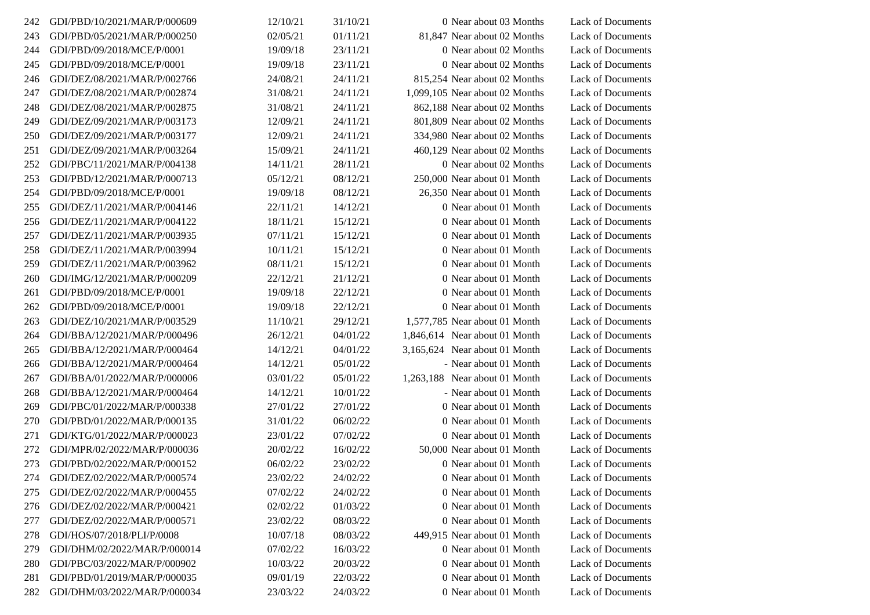| 242 | GDI/PBD/10/2021/MAR/P/000609 | 12/10/21 | 31/10/21 | 0 Near about 03 Months           | Lack of Documents        |
|-----|------------------------------|----------|----------|----------------------------------|--------------------------|
| 243 | GDI/PBD/05/2021/MAR/P/000250 | 02/05/21 | 01/11/21 | 81,847 Near about 02 Months      | Lack of Documents        |
| 244 | GDI/PBD/09/2018/MCE/P/0001   | 19/09/18 | 23/11/21 | 0 Near about 02 Months           | Lack of Documents        |
| 245 | GDI/PBD/09/2018/MCE/P/0001   | 19/09/18 | 23/11/21 | 0 Near about 02 Months           | Lack of Documents        |
| 246 | GDI/DEZ/08/2021/MAR/P/002766 | 24/08/21 | 24/11/21 | 815,254 Near about 02 Months     | Lack of Documents        |
| 247 | GDI/DEZ/08/2021/MAR/P/002874 | 31/08/21 | 24/11/21 | $1,099,105$ Near about 02 Months | Lack of Documents        |
| 248 | GDI/DEZ/08/2021/MAR/P/002875 | 31/08/21 | 24/11/21 | 862,188 Near about 02 Months     | Lack of Documents        |
| 249 | GDI/DEZ/09/2021/MAR/P/003173 | 12/09/21 | 24/11/21 | 801,809 Near about 02 Months     | Lack of Documents        |
| 250 | GDI/DEZ/09/2021/MAR/P/003177 | 12/09/21 | 24/11/21 | 334,980 Near about 02 Months     | Lack of Documents        |
| 251 | GDI/DEZ/09/2021/MAR/P/003264 | 15/09/21 | 24/11/21 | 460,129 Near about 02 Months     | Lack of Documents        |
| 252 | GDI/PBC/11/2021/MAR/P/004138 | 14/11/21 | 28/11/21 | 0 Near about 02 Months           | <b>Lack of Documents</b> |
| 253 | GDI/PBD/12/2021/MAR/P/000713 | 05/12/21 | 08/12/21 | 250,000 Near about 01 Month      | Lack of Documents        |
| 254 | GDI/PBD/09/2018/MCE/P/0001   | 19/09/18 | 08/12/21 | 26,350 Near about 01 Month       | Lack of Documents        |
| 255 | GDI/DEZ/11/2021/MAR/P/004146 | 22/11/21 | 14/12/21 | 0 Near about 01 Month            | Lack of Documents        |
| 256 | GDI/DEZ/11/2021/MAR/P/004122 | 18/11/21 | 15/12/21 | 0 Near about 01 Month            | Lack of Documents        |
| 257 | GDI/DEZ/11/2021/MAR/P/003935 | 07/11/21 | 15/12/21 | 0 Near about 01 Month            | Lack of Documents        |
| 258 | GDI/DEZ/11/2021/MAR/P/003994 | 10/11/21 | 15/12/21 | 0 Near about 01 Month            | Lack of Documents        |
| 259 | GDI/DEZ/11/2021/MAR/P/003962 | 08/11/21 | 15/12/21 | 0 Near about 01 Month            | Lack of Documents        |
| 260 | GDI/IMG/12/2021/MAR/P/000209 | 22/12/21 | 21/12/21 | 0 Near about 01 Month            | Lack of Documents        |
| 261 | GDI/PBD/09/2018/MCE/P/0001   | 19/09/18 | 22/12/21 | 0 Near about 01 Month            | Lack of Documents        |
| 262 | GDI/PBD/09/2018/MCE/P/0001   | 19/09/18 | 22/12/21 | 0 Near about 01 Month            | Lack of Documents        |
| 263 | GDI/DEZ/10/2021/MAR/P/003529 | 11/10/21 | 29/12/21 | 1,577,785 Near about 01 Month    | Lack of Documents        |
| 264 | GDI/BBA/12/2021/MAR/P/000496 | 26/12/21 | 04/01/22 | 1,846,614 Near about 01 Month    | Lack of Documents        |
| 265 | GDI/BBA/12/2021/MAR/P/000464 | 14/12/21 | 04/01/22 | 3,165,624 Near about 01 Month    | Lack of Documents        |
| 266 | GDI/BBA/12/2021/MAR/P/000464 | 14/12/21 | 05/01/22 | - Near about 01 Month            | Lack of Documents        |
| 267 | GDI/BBA/01/2022/MAR/P/000006 | 03/01/22 | 05/01/22 | 1,263,188 Near about 01 Month    | Lack of Documents        |
| 268 | GDI/BBA/12/2021/MAR/P/000464 | 14/12/21 | 10/01/22 | - Near about 01 Month            | Lack of Documents        |
| 269 | GDI/PBC/01/2022/MAR/P/000338 | 27/01/22 | 27/01/22 | 0 Near about 01 Month            | Lack of Documents        |
| 270 | GDI/PBD/01/2022/MAR/P/000135 | 31/01/22 | 06/02/22 | 0 Near about 01 Month            | Lack of Documents        |
| 271 | GDI/KTG/01/2022/MAR/P/000023 | 23/01/22 | 07/02/22 | 0 Near about 01 Month            | Lack of Documents        |
| 272 | GDI/MPR/02/2022/MAR/P/000036 | 20/02/22 | 16/02/22 | 50,000 Near about 01 Month       | Lack of Documents        |
| 273 | GDI/PBD/02/2022/MAR/P/000152 | 06/02/22 | 23/02/22 | 0 Near about 01 Month            | Lack of Documents        |
| 274 | GDI/DEZ/02/2022/MAR/P/000574 | 23/02/22 | 24/02/22 | 0 Near about 01 Month            | <b>Lack of Documents</b> |
| 275 | GDI/DEZ/02/2022/MAR/P/000455 | 07/02/22 | 24/02/22 | 0 Near about 01 Month            | Lack of Documents        |
| 276 | GDI/DEZ/02/2022/MAR/P/000421 | 02/02/22 | 01/03/22 | 0 Near about 01 Month            | Lack of Documents        |
| 277 | GDI/DEZ/02/2022/MAR/P/000571 | 23/02/22 | 08/03/22 | 0 Near about 01 Month            | <b>Lack of Documents</b> |
| 278 | GDI/HOS/07/2018/PLI/P/0008   | 10/07/18 | 08/03/22 | 449,915 Near about 01 Month      | Lack of Documents        |
| 279 | GDI/DHM/02/2022/MAR/P/000014 | 07/02/22 | 16/03/22 | 0 Near about 01 Month            | <b>Lack of Documents</b> |
| 280 | GDI/PBC/03/2022/MAR/P/000902 | 10/03/22 | 20/03/22 | 0 Near about 01 Month            | Lack of Documents        |
| 281 | GDI/PBD/01/2019/MAR/P/000035 | 09/01/19 | 22/03/22 | 0 Near about 01 Month            | Lack of Documents        |
| 282 | GDI/DHM/03/2022/MAR/P/000034 | 23/03/22 | 24/03/22 | 0 Near about 01 Month            | Lack of Documents        |